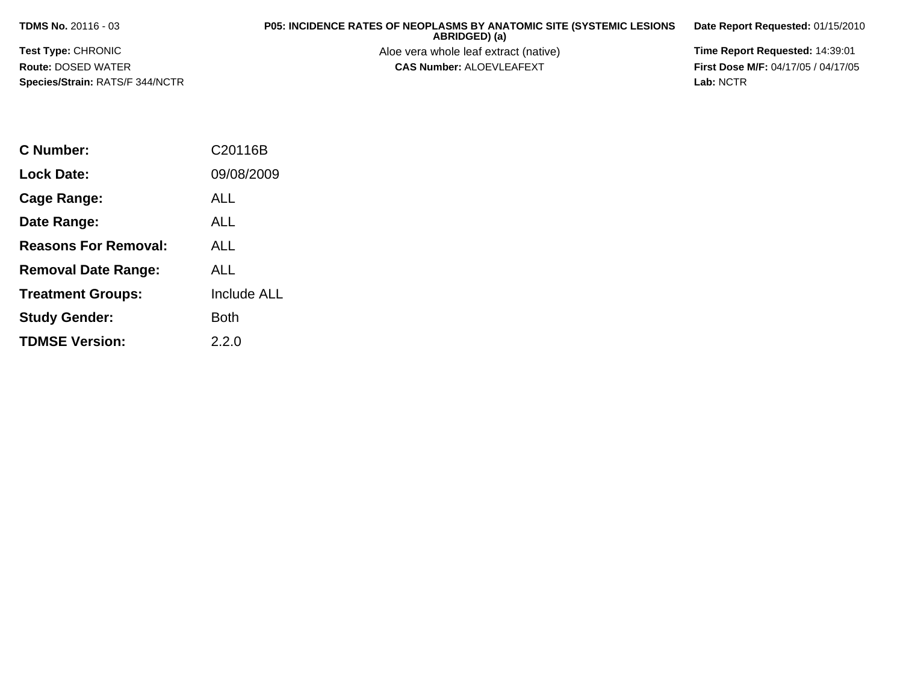**TDMS No.** 20116 - 03

**Test Type:** CHRONIC

**Route:** DOSED WATER

**Species/Strain:** RATS/F 344/NCTR

**P05: INCIDENCE RATES OF NEOPLASMS BY ANATOMIC SITE (SYSTEMIC LESIONS ABRIDGED) (a)**

Aloe vera whole leaf extract (native) **Time Report Requested:** 14:39:01<br>**CAS Number:** ALOEVLEAFEXT **The State of the CAS Number:** ALOEVLEAFEXT

**Date Report Requested:** 01/15/2010

**First Dose M/F:** 04/17/05 / 04/17/05<br>Lab: NCTR **Lab:** NCTR

| C Number:                   | C20116B            |
|-----------------------------|--------------------|
| <b>Lock Date:</b>           | 09/08/2009         |
| <b>Cage Range:</b>          | ALL                |
| Date Range:                 | <b>ALL</b>         |
| <b>Reasons For Removal:</b> | AI L               |
| <b>Removal Date Range:</b>  | AI L               |
| <b>Treatment Groups:</b>    | <b>Include ALL</b> |
| <b>Study Gender:</b>        | Both               |
| <b>TDMSE Version:</b>       | 2.2.0              |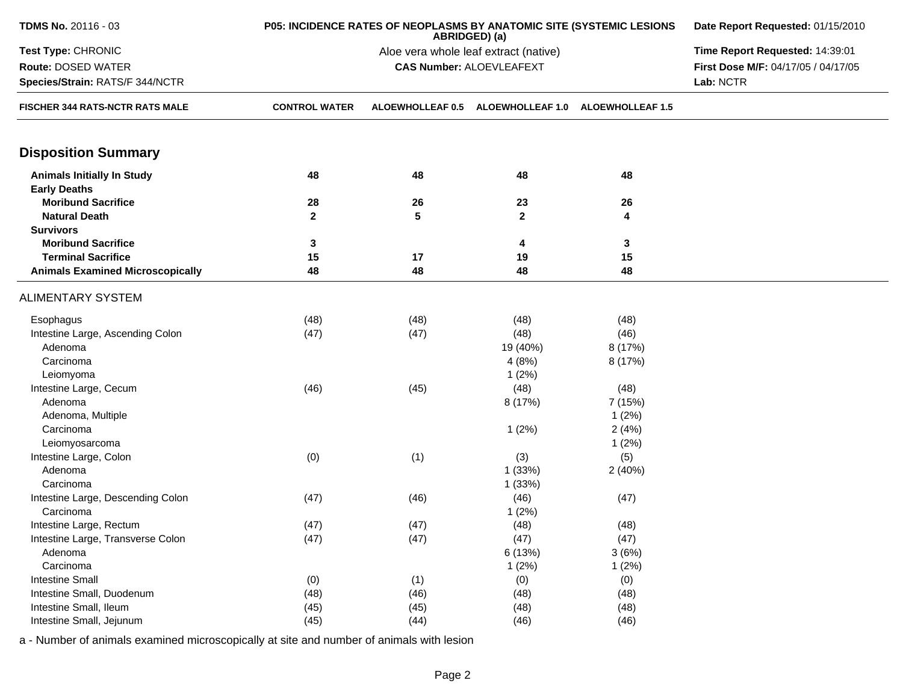| <b>TDMS No. 20116 - 03</b>              | P05: INCIDENCE RATES OF NEOPLASMS BY ANATOMIC SITE (SYSTEMIC LESIONS<br>ABRIDGED) (a) |                                 |                         |                         |                                     |
|-----------------------------------------|---------------------------------------------------------------------------------------|---------------------------------|-------------------------|-------------------------|-------------------------------------|
| Test Type: CHRONIC                      |                                                                                       | Time Report Requested: 14:39:01 |                         |                         |                                     |
| Route: DOSED WATER                      |                                                                                       | <b>CAS Number: ALOEVLEAFEXT</b> |                         |                         | First Dose M/F: 04/17/05 / 04/17/05 |
| Species/Strain: RATS/F 344/NCTR         |                                                                                       |                                 |                         |                         | Lab: NCTR                           |
| FISCHER 344 RATS-NCTR RATS MALE         | <b>CONTROL WATER</b>                                                                  | ALOEWHOLLEAF 0.5                | <b>ALOEWHOLLEAF 1.0</b> | <b>ALOEWHOLLEAF 1.5</b> |                                     |
| <b>Disposition Summary</b>              |                                                                                       |                                 |                         |                         |                                     |
| <b>Animals Initially In Study</b>       | 48                                                                                    | 48                              | 48                      | 48                      |                                     |
| <b>Early Deaths</b>                     |                                                                                       |                                 |                         |                         |                                     |
| <b>Moribund Sacrifice</b>               | 28                                                                                    | 26                              | 23                      | 26                      |                                     |
| <b>Natural Death</b>                    | $\mathbf{2}$                                                                          | 5                               | $\overline{2}$          | 4                       |                                     |
| <b>Survivors</b>                        |                                                                                       |                                 |                         |                         |                                     |
| <b>Moribund Sacrifice</b>               | 3                                                                                     |                                 | 4                       | 3                       |                                     |
| <b>Terminal Sacrifice</b>               | 15                                                                                    | 17                              | 19                      | 15                      |                                     |
| <b>Animals Examined Microscopically</b> | 48                                                                                    | 48                              | 48                      | 48                      |                                     |
|                                         |                                                                                       |                                 |                         |                         |                                     |
| <b>ALIMENTARY SYSTEM</b>                |                                                                                       |                                 |                         |                         |                                     |
| Esophagus                               | (48)                                                                                  | (48)                            | (48)                    | (48)                    |                                     |
| Intestine Large, Ascending Colon        | (47)                                                                                  | (47)                            | (48)                    | (46)                    |                                     |
| Adenoma                                 |                                                                                       |                                 | 19 (40%)                | 8 (17%)                 |                                     |
| Carcinoma                               |                                                                                       |                                 | 4(8%)                   | 8 (17%)                 |                                     |
| Leiomyoma                               |                                                                                       |                                 | 1(2%)                   |                         |                                     |
| Intestine Large, Cecum                  | (46)                                                                                  | (45)                            | (48)                    | (48)                    |                                     |
| Adenoma                                 |                                                                                       |                                 | 8 (17%)                 | 7 (15%)                 |                                     |
| Adenoma, Multiple                       |                                                                                       |                                 |                         | 1(2%)                   |                                     |
| Carcinoma                               |                                                                                       |                                 | 1(2%)                   | 2(4%)                   |                                     |
| Leiomyosarcoma                          |                                                                                       |                                 |                         | 1(2%)                   |                                     |
| Intestine Large, Colon                  | (0)                                                                                   | (1)                             | (3)                     | (5)                     |                                     |
| Adenoma                                 |                                                                                       |                                 | 1(33%)                  | 2(40%)                  |                                     |
| Carcinoma                               |                                                                                       |                                 | 1 (33%)                 |                         |                                     |
| Intestine Large, Descending Colon       | (47)                                                                                  | (46)                            | (46)                    | (47)                    |                                     |
| Carcinoma                               |                                                                                       |                                 | 1(2%)                   |                         |                                     |
| Intestine Large, Rectum                 | (47)                                                                                  | (47)                            | (48)                    | (48)                    |                                     |
| Intestine Large, Transverse Colon       | (47)                                                                                  | (47)                            | (47)                    | (47)                    |                                     |
| Adenoma                                 |                                                                                       |                                 | 6 (13%)                 | 3(6%)                   |                                     |
| Carcinoma                               |                                                                                       |                                 | 1(2%)                   | 1(2%)                   |                                     |
| <b>Intestine Small</b>                  | (0)                                                                                   | (1)                             | (0)                     | (0)                     |                                     |
| Intestine Small, Duodenum               | (48)                                                                                  | (46)                            | (48)                    | (48)                    |                                     |
| Intestine Small, Ileum                  | (45)                                                                                  | (45)                            | (48)                    | (48)                    |                                     |
| Intestine Small, Jejunum                | (45)                                                                                  | (44)                            | (46)                    | (46)                    |                                     |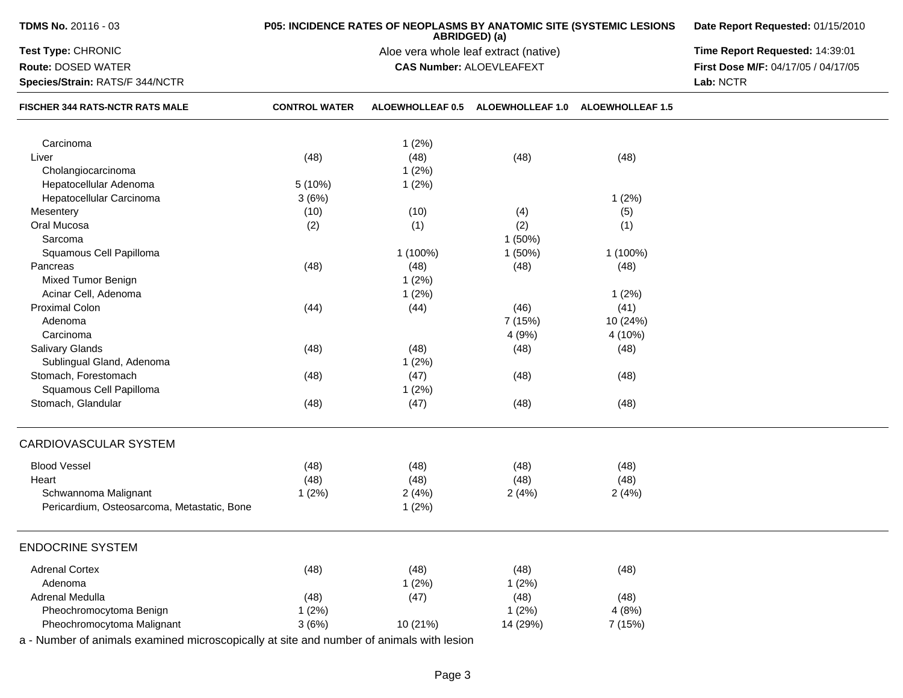| <b>TDMS No. 20116 - 03</b>                                                               | P05: INCIDENCE RATES OF NEOPLASMS BY ANATOMIC SITE (SYSTEMIC LESIONS | Date Report Requested: 01/15/2010 |                                                        |                         |                                                  |
|------------------------------------------------------------------------------------------|----------------------------------------------------------------------|-----------------------------------|--------------------------------------------------------|-------------------------|--------------------------------------------------|
| Test Type: CHRONIC                                                                       |                                                                      |                                   | ABRIDGED) (a)<br>Aloe vera whole leaf extract (native) |                         | Time Report Requested: 14:39:01                  |
| <b>Route: DOSED WATER</b><br>Species/Strain: RATS/F 344/NCTR                             |                                                                      | <b>CAS Number: ALOEVLEAFEXT</b>   |                                                        |                         | First Dose M/F: 04/17/05 / 04/17/05<br>Lab: NCTR |
| FISCHER 344 RATS-NCTR RATS MALE                                                          | <b>CONTROL WATER</b>                                                 | <b>ALOEWHOLLEAF 0.5</b>           | <b>ALOEWHOLLEAF 1.0</b>                                | <b>ALOEWHOLLEAF 1.5</b> |                                                  |
| Carcinoma                                                                                |                                                                      | 1(2%)                             |                                                        |                         |                                                  |
| Liver                                                                                    | (48)                                                                 | (48)                              | (48)                                                   | (48)                    |                                                  |
| Cholangiocarcinoma                                                                       |                                                                      | 1(2%)                             |                                                        |                         |                                                  |
| Hepatocellular Adenoma                                                                   | 5 (10%)                                                              | 1(2%)                             |                                                        |                         |                                                  |
| Hepatocellular Carcinoma                                                                 | 3(6%)                                                                |                                   |                                                        | 1(2%)                   |                                                  |
| Mesentery                                                                                | (10)                                                                 | (10)                              | (4)                                                    | (5)                     |                                                  |
| Oral Mucosa                                                                              | (2)                                                                  | (1)                               | (2)                                                    | (1)                     |                                                  |
| Sarcoma                                                                                  |                                                                      |                                   | 1(50%)                                                 |                         |                                                  |
| Squamous Cell Papilloma                                                                  |                                                                      | 1 (100%)                          | 1(50%)                                                 | 1 (100%)                |                                                  |
| Pancreas                                                                                 | (48)                                                                 | (48)                              | (48)                                                   | (48)                    |                                                  |
| Mixed Tumor Benign                                                                       |                                                                      | 1(2%)                             |                                                        |                         |                                                  |
| Acinar Cell, Adenoma                                                                     |                                                                      | 1(2%)                             |                                                        | 1(2%)                   |                                                  |
| <b>Proximal Colon</b>                                                                    | (44)                                                                 | (44)                              | (46)                                                   | (41)                    |                                                  |
| Adenoma                                                                                  |                                                                      |                                   | 7 (15%)                                                | 10 (24%)                |                                                  |
| Carcinoma                                                                                |                                                                      |                                   | 4(9%)                                                  | 4 (10%)                 |                                                  |
| <b>Salivary Glands</b>                                                                   | (48)                                                                 | (48)                              | (48)                                                   | (48)                    |                                                  |
| Sublingual Gland, Adenoma                                                                |                                                                      | 1(2%)                             |                                                        |                         |                                                  |
| Stomach, Forestomach                                                                     | (48)                                                                 | (47)                              | (48)                                                   | (48)                    |                                                  |
| Squamous Cell Papilloma                                                                  |                                                                      | 1(2%)                             |                                                        |                         |                                                  |
| Stomach, Glandular                                                                       | (48)                                                                 | (47)                              | (48)                                                   | (48)                    |                                                  |
| CARDIOVASCULAR SYSTEM                                                                    |                                                                      |                                   |                                                        |                         |                                                  |
| <b>Blood Vessel</b>                                                                      | (48)                                                                 | (48)                              | (48)                                                   | (48)                    |                                                  |
| Heart                                                                                    | (48)                                                                 | (48)                              | (48)                                                   | (48)                    |                                                  |
| Schwannoma Malignant                                                                     | 1(2%)                                                                | 2(4%)                             | 2(4%)                                                  | 2(4%)                   |                                                  |
| Pericardium, Osteosarcoma, Metastatic, Bone                                              |                                                                      | 1(2%)                             |                                                        |                         |                                                  |
| <b>ENDOCRINE SYSTEM</b>                                                                  |                                                                      |                                   |                                                        |                         |                                                  |
| <b>Adrenal Cortex</b>                                                                    | (48)                                                                 | (48)                              | (48)                                                   | (48)                    |                                                  |
| Adenoma                                                                                  |                                                                      | 1(2%)                             | 1(2%)                                                  |                         |                                                  |
| Adrenal Medulla                                                                          | (48)                                                                 | (47)                              | (48)                                                   | (48)                    |                                                  |
| Pheochromocytoma Benign                                                                  | 1(2%)                                                                |                                   | 1(2%)                                                  | 4(8%)                   |                                                  |
| Pheochromocytoma Malignant                                                               | 3(6%)                                                                | 10 (21%)                          | 14 (29%)                                               | 7 (15%)                 |                                                  |
| a - Number of animals examined microscopically at site and number of animals with lesion |                                                                      |                                   |                                                        |                         |                                                  |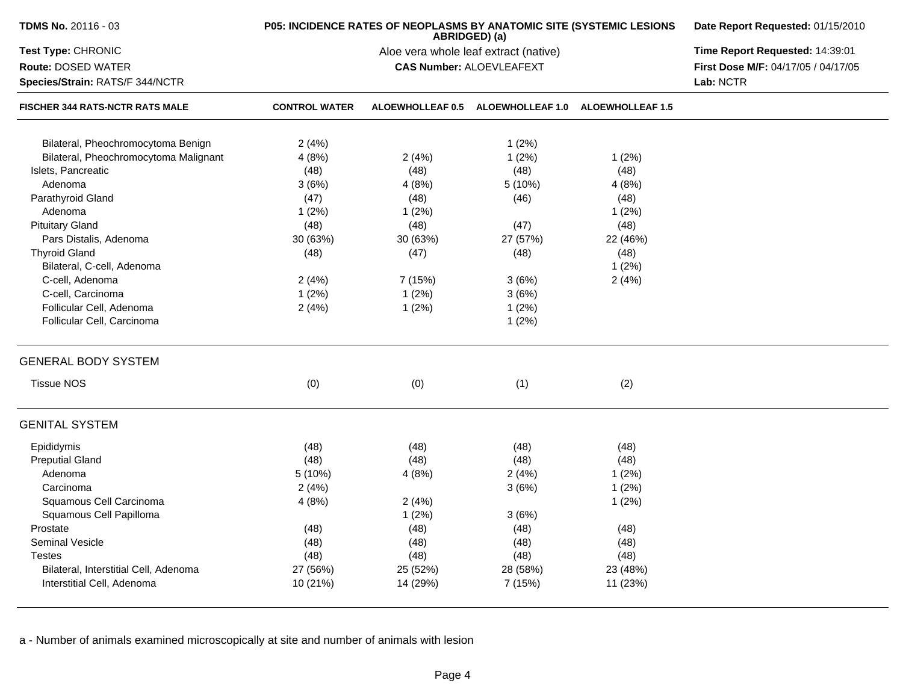| TDMS No. 20116 - 03                    | P05: INCIDENCE RATES OF NEOPLASMS BY ANATOMIC SITE (SYSTEMIC LESIONS | Date Report Requested: 01/15/2010     |                                                    |          |                                     |
|----------------------------------------|----------------------------------------------------------------------|---------------------------------------|----------------------------------------------------|----------|-------------------------------------|
| Test Type: CHRONIC                     |                                                                      | Aloe vera whole leaf extract (native) | Time Report Requested: 14:39:01                    |          |                                     |
| <b>Route: DOSED WATER</b>              |                                                                      |                                       | <b>CAS Number: ALOEVLEAFEXT</b>                    |          | First Dose M/F: 04/17/05 / 04/17/05 |
| Species/Strain: RATS/F 344/NCTR        |                                                                      |                                       | Lab: NCTR                                          |          |                                     |
| <b>FISCHER 344 RATS-NCTR RATS MALE</b> | <b>CONTROL WATER</b>                                                 |                                       | ALOEWHOLLEAF 0.5 ALOEWHOLLEAF 1.0 ALOEWHOLLEAF 1.5 |          |                                     |
| Bilateral, Pheochromocytoma Benign     | 2(4%)                                                                |                                       | 1(2%)                                              |          |                                     |
| Bilateral, Pheochromocytoma Malignant  | 4(8%)                                                                | 2(4%)                                 | 1(2%)                                              | 1(2%)    |                                     |
| Islets, Pancreatic                     | (48)                                                                 | (48)                                  | (48)                                               | (48)     |                                     |
| Adenoma                                | 3(6%)                                                                | 4(8%)                                 | 5(10%)                                             | 4(8%)    |                                     |
| Parathyroid Gland                      | (47)                                                                 | (48)                                  | (46)                                               | (48)     |                                     |
| Adenoma                                | 1(2%)                                                                | 1(2%)                                 |                                                    | 1(2%)    |                                     |
| <b>Pituitary Gland</b>                 | (48)                                                                 | (48)                                  | (47)                                               | (48)     |                                     |
| Pars Distalis, Adenoma                 | 30 (63%)                                                             | 30 (63%)                              | 27 (57%)                                           | 22 (46%) |                                     |
| <b>Thyroid Gland</b>                   | (48)                                                                 | (47)                                  | (48)                                               | (48)     |                                     |
| Bilateral, C-cell, Adenoma             |                                                                      |                                       |                                                    | 1(2%)    |                                     |
| C-cell, Adenoma                        | 2(4%)                                                                | 7 (15%)                               | 3(6%)                                              | 2(4%)    |                                     |
| C-cell, Carcinoma                      | 1(2%)                                                                | 1(2%)                                 | 3(6%)                                              |          |                                     |
| Follicular Cell, Adenoma               | 2(4%)                                                                | 1(2%)                                 | 1(2%)                                              |          |                                     |
| Follicular Cell, Carcinoma             |                                                                      |                                       | 1(2%)                                              |          |                                     |
| <b>GENERAL BODY SYSTEM</b>             |                                                                      |                                       |                                                    |          |                                     |
| <b>Tissue NOS</b>                      | (0)                                                                  | (0)                                   | (1)                                                | (2)      |                                     |
| <b>GENITAL SYSTEM</b>                  |                                                                      |                                       |                                                    |          |                                     |
| Epididymis                             | (48)                                                                 | (48)                                  | (48)                                               | (48)     |                                     |
| <b>Preputial Gland</b>                 | (48)                                                                 | (48)                                  | (48)                                               | (48)     |                                     |
| Adenoma                                | 5 (10%)                                                              | 4(8%)                                 | 2(4%)                                              | 1(2%)    |                                     |
| Carcinoma                              | 2(4%)                                                                |                                       | 3(6%)                                              | 1(2%)    |                                     |
| Squamous Cell Carcinoma                | 4(8%)                                                                | 2(4%)                                 |                                                    | 1(2%)    |                                     |
| Squamous Cell Papilloma                |                                                                      | 1(2%)                                 | 3(6%)                                              |          |                                     |
| Prostate                               | (48)                                                                 | (48)                                  | (48)                                               | (48)     |                                     |
| Seminal Vesicle                        | (48)                                                                 | (48)                                  | (48)                                               | (48)     |                                     |
| <b>Testes</b>                          | (48)                                                                 | (48)                                  | (48)                                               | (48)     |                                     |
| Bilateral, Interstitial Cell, Adenoma  | 27 (56%)                                                             | 25 (52%)                              | 28 (58%)                                           | 23 (48%) |                                     |
| Interstitial Cell, Adenoma             | 10 (21%)                                                             | 14 (29%)                              | 7 (15%)                                            | 11 (23%) |                                     |
|                                        |                                                                      |                                       |                                                    |          |                                     |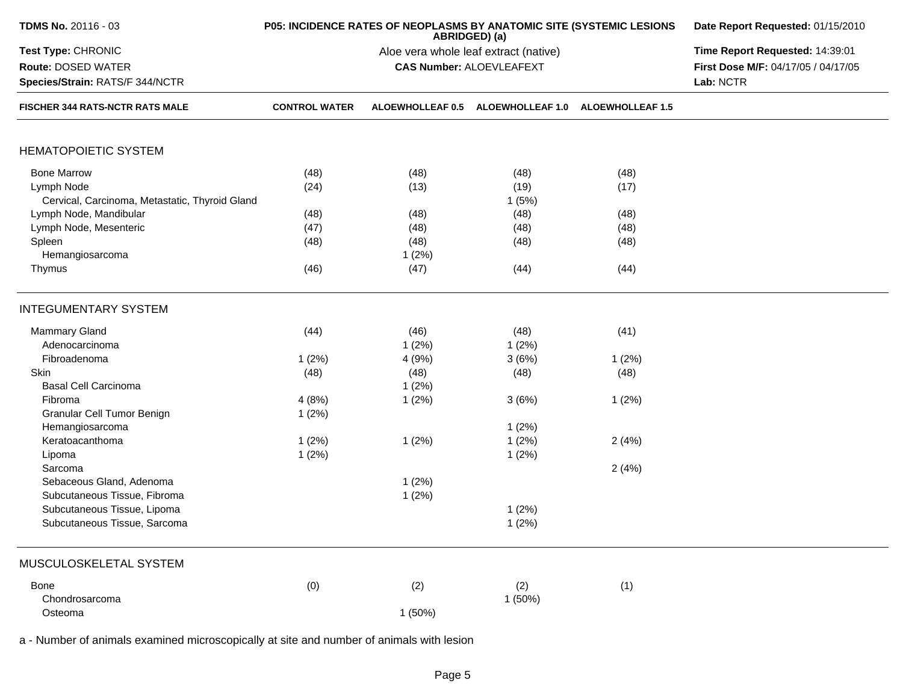| <b>TDMS No. 20116 - 03</b>                                                                                                                                                                                                                                                                                            |                                                           | P05: INCIDENCE RATES OF NEOPLASMS BY ANATOMIC SITE (SYSTEMIC LESIONS<br>ABRIDGED) (a) | Date Report Requested: 01/15/2010<br>Time Report Requested: 14:39:01<br>First Dose M/F: 04/17/05 / 04/17/05<br>Lab: NCTR |                                                  |  |
|-----------------------------------------------------------------------------------------------------------------------------------------------------------------------------------------------------------------------------------------------------------------------------------------------------------------------|-----------------------------------------------------------|---------------------------------------------------------------------------------------|--------------------------------------------------------------------------------------------------------------------------|--------------------------------------------------|--|
| Test Type: CHRONIC<br>Route: DOSED WATER<br>Species/Strain: RATS/F 344/NCTR                                                                                                                                                                                                                                           |                                                           | Aloe vera whole leaf extract (native)<br><b>CAS Number: ALOEVLEAFEXT</b>              |                                                                                                                          |                                                  |  |
| FISCHER 344 RATS-NCTR RATS MALE                                                                                                                                                                                                                                                                                       | <b>CONTROL WATER</b>                                      | ALOEWHOLLEAF 0.5                                                                      | <b>ALOEWHOLLEAF 1.0</b>                                                                                                  | <b>ALOEWHOLLEAF 1.5</b>                          |  |
| <b>HEMATOPOIETIC SYSTEM</b>                                                                                                                                                                                                                                                                                           |                                                           |                                                                                       |                                                                                                                          |                                                  |  |
| <b>Bone Marrow</b><br>Lymph Node<br>Cervical, Carcinoma, Metastatic, Thyroid Gland<br>Lymph Node, Mandibular<br>Lymph Node, Mesenteric<br>Spleen<br>Hemangiosarcoma<br>Thymus                                                                                                                                         | (48)<br>(24)<br>(48)<br>(47)<br>(48)<br>(46)              | (48)<br>(13)<br>(48)<br>(48)<br>(48)<br>1(2%)<br>(47)                                 | (48)<br>(19)<br>1(5%)<br>(48)<br>(48)<br>(48)<br>(44)                                                                    | (48)<br>(17)<br>(48)<br>(48)<br>(48)<br>(44)     |  |
| <b>INTEGUMENTARY SYSTEM</b>                                                                                                                                                                                                                                                                                           |                                                           |                                                                                       |                                                                                                                          |                                                  |  |
| Mammary Gland<br>Adenocarcinoma<br>Fibroadenoma<br>Skin<br><b>Basal Cell Carcinoma</b><br>Fibroma<br>Granular Cell Tumor Benign<br>Hemangiosarcoma<br>Keratoacanthoma<br>Lipoma<br>Sarcoma<br>Sebaceous Gland, Adenoma<br>Subcutaneous Tissue, Fibroma<br>Subcutaneous Tissue, Lipoma<br>Subcutaneous Tissue, Sarcoma | (44)<br>1(2%)<br>(48)<br>4(8%)<br>1(2%)<br>1(2%)<br>1(2%) | (46)<br>1(2%)<br>4(9%)<br>(48)<br>1(2%)<br>1(2%)<br>1(2%)<br>1(2%)<br>1(2%)           | (48)<br>1(2%)<br>3(6%)<br>(48)<br>3(6%)<br>1(2%)<br>1(2%)<br>1(2%)<br>1(2%)<br>1(2%)                                     | (41)<br>1(2%)<br>(48)<br>1(2%)<br>2(4%)<br>2(4%) |  |
| MUSCULOSKELETAL SYSTEM<br>Bone<br>Chondrosarcoma<br>Osteoma                                                                                                                                                                                                                                                           | (0)                                                       | (2)<br>1(50%)                                                                         | (2)<br>1(50%)                                                                                                            | (1)                                              |  |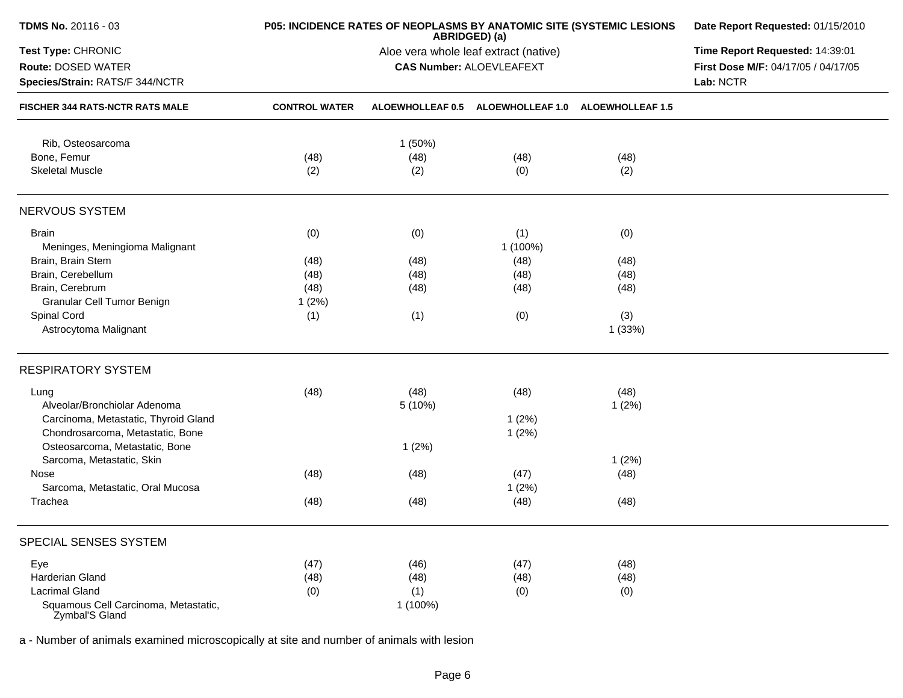| TDMS No. 20116 - 03                                    | P05: INCIDENCE RATES OF NEOPLASMS BY ANATOMIC SITE (SYSTEMIC LESIONS | Date Report Requested: 01/15/2010<br>Time Report Requested: 14:39:01 |                                                                          |                                   |                                     |
|--------------------------------------------------------|----------------------------------------------------------------------|----------------------------------------------------------------------|--------------------------------------------------------------------------|-----------------------------------|-------------------------------------|
| Test Type: CHRONIC                                     |                                                                      |                                                                      |                                                                          |                                   |                                     |
| Route: DOSED WATER                                     |                                                                      |                                                                      | Aloe vera whole leaf extract (native)<br><b>CAS Number: ALOEVLEAFEXT</b> |                                   | First Dose M/F: 04/17/05 / 04/17/05 |
| Species/Strain: RATS/F 344/NCTR                        |                                                                      | Lab: NCTR                                                            |                                                                          |                                   |                                     |
| FISCHER 344 RATS-NCTR RATS MALE                        | <b>CONTROL WATER</b>                                                 | ALOEWHOLLEAF 0.5                                                     |                                                                          | ALOEWHOLLEAF 1.0 ALOEWHOLLEAF 1.5 |                                     |
| Rib, Osteosarcoma                                      |                                                                      | 1(50%)                                                               |                                                                          |                                   |                                     |
| Bone, Femur                                            | (48)                                                                 | (48)                                                                 | (48)                                                                     | (48)                              |                                     |
| <b>Skeletal Muscle</b>                                 | (2)                                                                  | (2)                                                                  | (0)                                                                      | (2)                               |                                     |
| NERVOUS SYSTEM                                         |                                                                      |                                                                      |                                                                          |                                   |                                     |
| <b>Brain</b>                                           | (0)                                                                  | (0)                                                                  | (1)                                                                      | (0)                               |                                     |
| Meninges, Meningioma Malignant                         |                                                                      |                                                                      | 1 (100%)                                                                 |                                   |                                     |
| Brain, Brain Stem                                      | (48)                                                                 | (48)                                                                 | (48)                                                                     | (48)                              |                                     |
| Brain, Cerebellum                                      | (48)                                                                 |                                                                      | (48)                                                                     |                                   |                                     |
|                                                        |                                                                      | (48)                                                                 |                                                                          | (48)                              |                                     |
| Brain, Cerebrum                                        | (48)                                                                 | (48)                                                                 | (48)                                                                     | (48)                              |                                     |
| Granular Cell Tumor Benign                             | 1(2%)                                                                |                                                                      |                                                                          |                                   |                                     |
| Spinal Cord                                            | (1)                                                                  | (1)                                                                  | (0)                                                                      | (3)                               |                                     |
| Astrocytoma Malignant                                  |                                                                      |                                                                      |                                                                          | 1(33%)                            |                                     |
| <b>RESPIRATORY SYSTEM</b>                              |                                                                      |                                                                      |                                                                          |                                   |                                     |
| Lung                                                   | (48)                                                                 | (48)                                                                 | (48)                                                                     | (48)                              |                                     |
| Alveolar/Bronchiolar Adenoma                           |                                                                      | 5(10%)                                                               |                                                                          | 1(2%)                             |                                     |
| Carcinoma, Metastatic, Thyroid Gland                   |                                                                      |                                                                      | 1(2%)                                                                    |                                   |                                     |
|                                                        |                                                                      |                                                                      |                                                                          |                                   |                                     |
| Chondrosarcoma, Metastatic, Bone                       |                                                                      |                                                                      | 1(2%)                                                                    |                                   |                                     |
| Osteosarcoma, Metastatic, Bone                         |                                                                      | 1(2%)                                                                |                                                                          |                                   |                                     |
| Sarcoma, Metastatic, Skin                              |                                                                      |                                                                      |                                                                          | 1(2%)                             |                                     |
| Nose                                                   | (48)                                                                 | (48)                                                                 | (47)                                                                     | (48)                              |                                     |
| Sarcoma, Metastatic, Oral Mucosa                       |                                                                      |                                                                      | 1(2%)                                                                    |                                   |                                     |
| Trachea                                                | (48)                                                                 | (48)                                                                 | (48)                                                                     | (48)                              |                                     |
| SPECIAL SENSES SYSTEM                                  |                                                                      |                                                                      |                                                                          |                                   |                                     |
| Eye                                                    | (47)                                                                 | (46)                                                                 | (47)                                                                     | (48)                              |                                     |
| Harderian Gland                                        | (48)                                                                 | (48)                                                                 | (48)                                                                     | (48)                              |                                     |
| <b>Lacrimal Gland</b>                                  | (0)                                                                  | (1)                                                                  | (0)                                                                      | (0)                               |                                     |
|                                                        |                                                                      | 1 (100%)                                                             |                                                                          |                                   |                                     |
| Squamous Cell Carcinoma, Metastatic,<br>Zymbal'S Gland |                                                                      |                                                                      |                                                                          |                                   |                                     |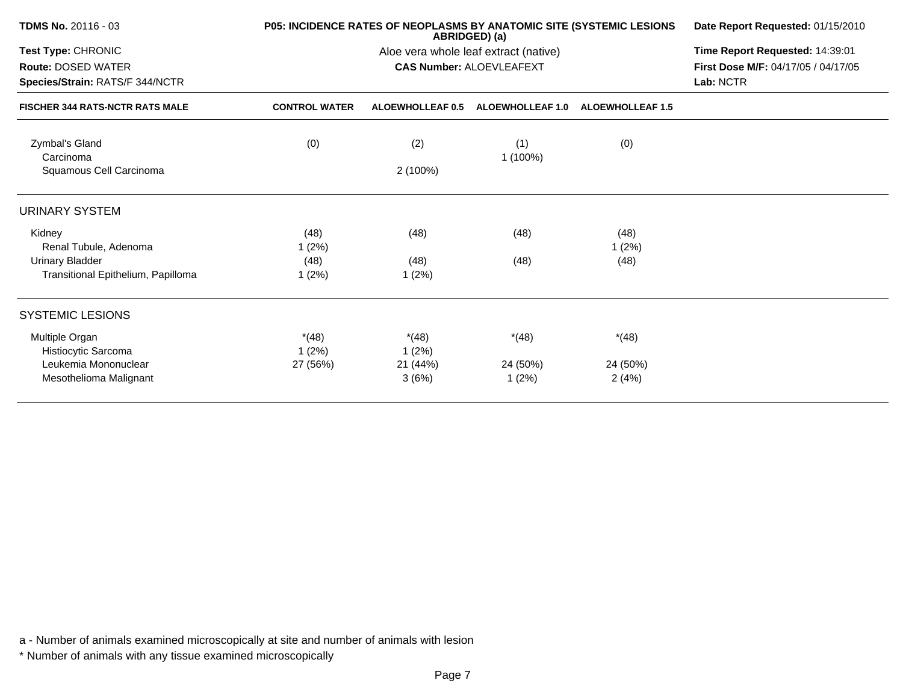| <b>TDMS No. 20116 - 03</b>             |                      | P05: INCIDENCE RATES OF NEOPLASMS BY ANATOMIC SITE (SYSTEMIC LESIONS<br>ABRIDGED) (a) |                                       |                         |                                     |  |
|----------------------------------------|----------------------|---------------------------------------------------------------------------------------|---------------------------------------|-------------------------|-------------------------------------|--|
| Test Type: CHRONIC                     |                      |                                                                                       | Aloe vera whole leaf extract (native) |                         | Time Report Requested: 14:39:01     |  |
| <b>Route: DOSED WATER</b>              |                      |                                                                                       | <b>CAS Number: ALOEVLEAFEXT</b>       |                         | First Dose M/F: 04/17/05 / 04/17/05 |  |
| Species/Strain: RATS/F 344/NCTR        |                      |                                                                                       |                                       |                         | Lab: NCTR                           |  |
| <b>FISCHER 344 RATS-NCTR RATS MALE</b> | <b>CONTROL WATER</b> | <b>ALOEWHOLLEAF 0.5</b>                                                               | <b>ALOEWHOLLEAF 1.0</b>               | <b>ALOEWHOLLEAF 1.5</b> |                                     |  |
| Zymbal's Gland<br>Carcinoma            | (0)                  | (2)                                                                                   | (1)<br>1 (100%)                       | (0)                     |                                     |  |
| Squamous Cell Carcinoma                |                      | 2 (100%)                                                                              |                                       |                         |                                     |  |
| <b>URINARY SYSTEM</b>                  |                      |                                                                                       |                                       |                         |                                     |  |
| Kidney                                 | (48)                 | (48)                                                                                  | (48)                                  | (48)                    |                                     |  |
| Renal Tubule, Adenoma                  | 1(2%)                |                                                                                       |                                       | 1(2%)                   |                                     |  |
| Urinary Bladder                        | (48)                 | (48)                                                                                  | (48)                                  | (48)                    |                                     |  |
| Transitional Epithelium, Papilloma     | $1(2\%)$             | 1(2%)                                                                                 |                                       |                         |                                     |  |
| <b>SYSTEMIC LESIONS</b>                |                      |                                                                                       |                                       |                         |                                     |  |
| Multiple Organ<br>Histiocytic Sarcoma  | $*(48)$<br>1(2%)     | $*(48)$<br>1(2%)                                                                      | $*(48)$                               | $*(48)$                 |                                     |  |
| Leukemia Mononuclear                   | 27 (56%)             | 21 (44%)                                                                              | 24 (50%)                              | 24 (50%)                |                                     |  |
| Mesothelioma Malignant                 |                      | 3(6%)                                                                                 | 1(2%)                                 | 2(4%)                   |                                     |  |
|                                        |                      |                                                                                       |                                       |                         |                                     |  |

\* Number of animals with any tissue examined microscopically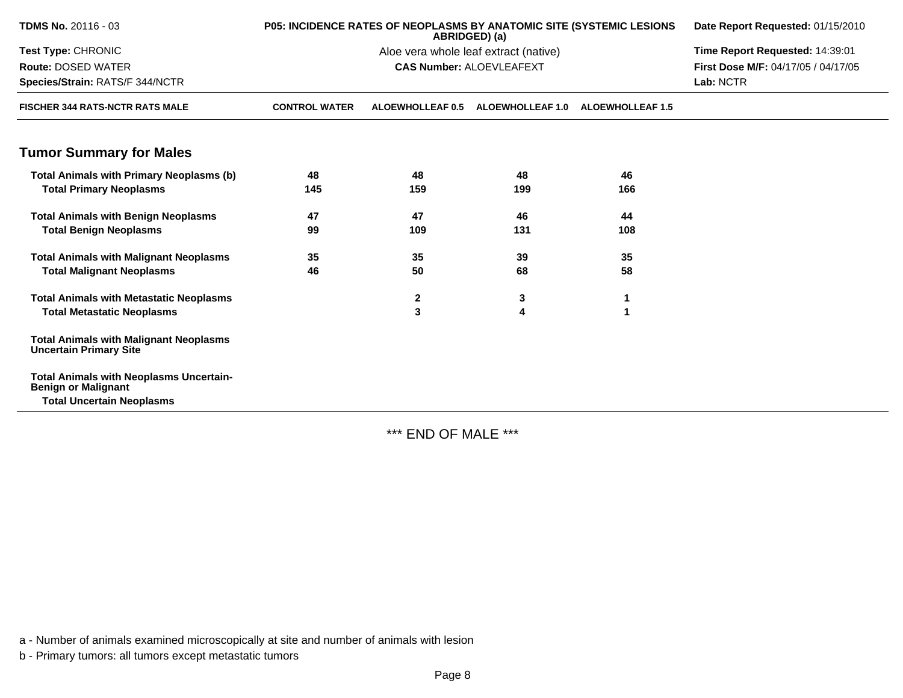| <b>TDMS No. 20116 - 03</b>                                                     | P05: INCIDENCE RATES OF NEOPLASMS BY ANATOMIC SITE (SYSTEMIC LESIONS | Date Report Requested: 01/15/2010 |                                 |                         |                                     |
|--------------------------------------------------------------------------------|----------------------------------------------------------------------|-----------------------------------|---------------------------------|-------------------------|-------------------------------------|
| <b>Test Type: CHRONIC</b>                                                      | Time Report Requested: 14:39:01                                      |                                   |                                 |                         |                                     |
| <b>Route: DOSED WATER</b>                                                      |                                                                      |                                   | <b>CAS Number: ALOEVLEAFEXT</b> |                         | First Dose M/F: 04/17/05 / 04/17/05 |
| Species/Strain: RATS/F 344/NCTR                                                |                                                                      |                                   |                                 |                         | Lab: NCTR                           |
| <b>FISCHER 344 RATS-NCTR RATS MALE</b>                                         | <b>CONTROL WATER</b>                                                 | ALOEWHOLLEAF 0.5                  | <b>ALOEWHOLLEAF 1.0</b>         | <b>ALOEWHOLLEAF 1.5</b> |                                     |
| <b>Tumor Summary for Males</b>                                                 |                                                                      |                                   |                                 |                         |                                     |
| <b>Total Animals with Primary Neoplasms (b)</b>                                | 48                                                                   | 48                                | 48                              | 46                      |                                     |
| <b>Total Primary Neoplasms</b>                                                 | 145                                                                  | 159                               | 199                             | 166                     |                                     |
| <b>Total Animals with Benign Neoplasms</b>                                     | 47                                                                   | 47                                | 46                              | 44                      |                                     |
| <b>Total Benign Neoplasms</b>                                                  | 99                                                                   | 109                               | 131                             | 108                     |                                     |
| <b>Total Animals with Malignant Neoplasms</b>                                  | 35                                                                   | 35                                | 39                              | 35                      |                                     |
| <b>Total Malignant Neoplasms</b>                                               | 46                                                                   | 50                                | 68                              | 58                      |                                     |
| <b>Total Animals with Metastatic Neoplasms</b>                                 |                                                                      | $\mathbf{2}$                      | 3                               |                         |                                     |
| <b>Total Metastatic Neoplasms</b>                                              |                                                                      | 3                                 | 4                               | 1                       |                                     |
| <b>Total Animals with Malignant Neoplasms</b><br><b>Uncertain Primary Site</b> |                                                                      |                                   |                                 |                         |                                     |
| <b>Total Animals with Neoplasms Uncertain-</b><br><b>Benign or Malignant</b>   |                                                                      |                                   |                                 |                         |                                     |
| <b>Total Uncertain Neoplasms</b>                                               |                                                                      |                                   |                                 |                         |                                     |

\*\*\* END OF MALE \*\*\*

a - Number of animals examined microscopically at site and number of animals with lesion

b - Primary tumors: all tumors except metastatic tumors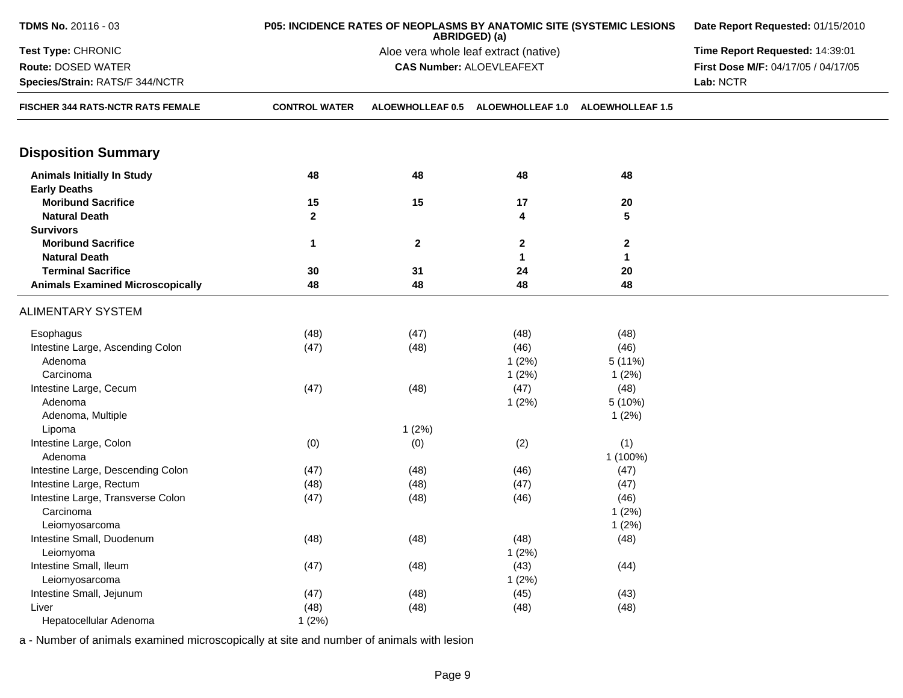| TDMS No. 20116 - 03                     | P05: INCIDENCE RATES OF NEOPLASMS BY ANATOMIC SITE (SYSTEMIC LESIONS | Date Report Requested: 01/15/2010 |                                       |                         |                                     |
|-----------------------------------------|----------------------------------------------------------------------|-----------------------------------|---------------------------------------|-------------------------|-------------------------------------|
| Test Type: CHRONIC                      |                                                                      |                                   | Aloe vera whole leaf extract (native) |                         | Time Report Requested: 14:39:01     |
| Route: DOSED WATER                      |                                                                      |                                   | <b>CAS Number: ALOEVLEAFEXT</b>       |                         | First Dose M/F: 04/17/05 / 04/17/05 |
| Species/Strain: RATS/F 344/NCTR         |                                                                      |                                   |                                       |                         | Lab: NCTR                           |
| FISCHER 344 RATS-NCTR RATS FEMALE       | <b>CONTROL WATER</b>                                                 | ALOEWHOLLEAF 0.5                  | <b>ALOEWHOLLEAF 1.0</b>               | <b>ALOEWHOLLEAF 1.5</b> |                                     |
| <b>Disposition Summary</b>              |                                                                      |                                   |                                       |                         |                                     |
| <b>Animals Initially In Study</b>       | 48                                                                   | 48                                | 48                                    | 48                      |                                     |
| <b>Early Deaths</b>                     |                                                                      |                                   |                                       |                         |                                     |
| <b>Moribund Sacrifice</b>               | 15                                                                   | 15                                | 17                                    | 20                      |                                     |
| <b>Natural Death</b>                    | $\overline{2}$                                                       |                                   | 4                                     | 5                       |                                     |
| <b>Survivors</b>                        |                                                                      |                                   |                                       |                         |                                     |
| <b>Moribund Sacrifice</b>               | $\mathbf{1}$                                                         | $\mathbf{2}$                      | 2                                     | $\mathbf{2}$            |                                     |
| <b>Natural Death</b>                    |                                                                      |                                   | 1                                     | 1                       |                                     |
| <b>Terminal Sacrifice</b>               | 30                                                                   | 31                                | 24                                    | 20                      |                                     |
| <b>Animals Examined Microscopically</b> | 48                                                                   | 48                                | 48                                    | 48                      |                                     |
| <b>ALIMENTARY SYSTEM</b>                |                                                                      |                                   |                                       |                         |                                     |
| Esophagus                               | (48)                                                                 | (47)                              | (48)                                  | (48)                    |                                     |
| Intestine Large, Ascending Colon        | (47)                                                                 | (48)                              | (46)                                  | (46)                    |                                     |
| Adenoma                                 |                                                                      |                                   | 1(2%)                                 | 5(11%)                  |                                     |
| Carcinoma                               |                                                                      |                                   | 1(2%)                                 | 1(2%)                   |                                     |
| Intestine Large, Cecum                  | (47)                                                                 | (48)                              | (47)                                  | (48)                    |                                     |
| Adenoma                                 |                                                                      |                                   | 1(2%)                                 | 5(10%)                  |                                     |
| Adenoma, Multiple                       |                                                                      |                                   |                                       | 1(2%)                   |                                     |
| Lipoma                                  |                                                                      | 1(2%)                             |                                       |                         |                                     |
| Intestine Large, Colon                  | (0)                                                                  | (0)                               | (2)                                   | (1)                     |                                     |
| Adenoma                                 |                                                                      |                                   |                                       | 1 (100%)                |                                     |
| Intestine Large, Descending Colon       | (47)                                                                 | (48)                              | (46)                                  | (47)                    |                                     |
| Intestine Large, Rectum                 | (48)                                                                 | (48)                              | (47)                                  | (47)                    |                                     |
| Intestine Large, Transverse Colon       | (47)                                                                 | (48)                              | (46)                                  | (46)                    |                                     |
| Carcinoma                               |                                                                      |                                   |                                       | 1(2%)                   |                                     |
| Leiomyosarcoma                          |                                                                      |                                   |                                       | 1(2%)                   |                                     |
| Intestine Small, Duodenum               | (48)                                                                 | (48)                              | (48)                                  | (48)                    |                                     |
| Leiomyoma                               |                                                                      |                                   | 1(2%)                                 |                         |                                     |
| Intestine Small, Ileum                  | (47)                                                                 | (48)                              | (43)                                  | (44)                    |                                     |
| Leiomyosarcoma                          |                                                                      |                                   | 1(2%)                                 |                         |                                     |
| Intestine Small, Jejunum                | (47)                                                                 | (48)                              | (45)                                  | (43)                    |                                     |
| Liver                                   | (48)                                                                 | (48)                              | (48)                                  | (48)                    |                                     |
| Hepatocellular Adenoma                  | 1(2%)                                                                |                                   |                                       |                         |                                     |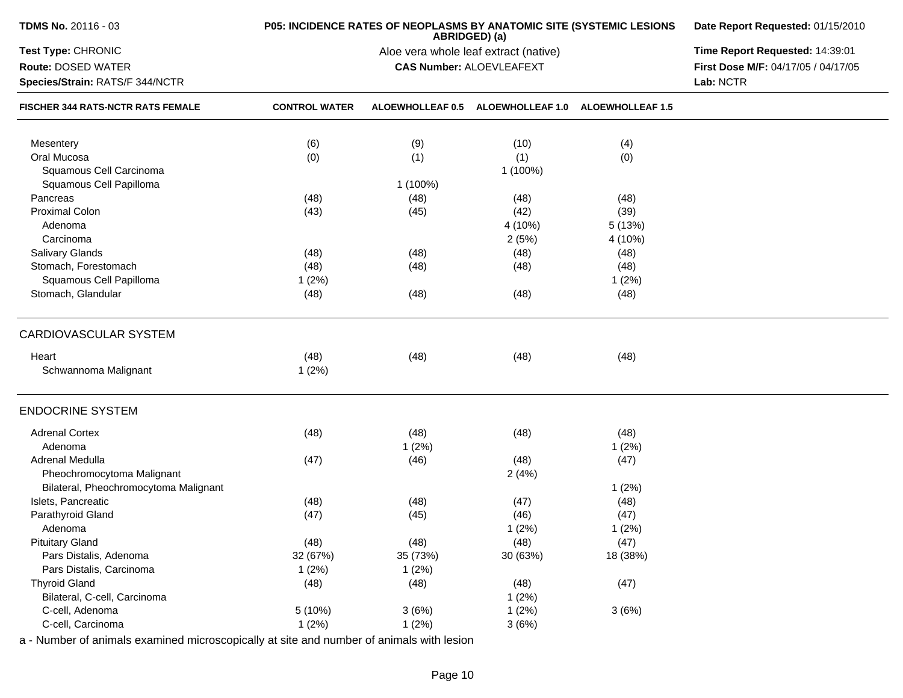| TDMS No. 20116 - 03                   | P05: INCIDENCE RATES OF NEOPLASMS BY ANATOMIC SITE (SYSTEMIC LESIONS | Date Report Requested: 01/15/2010     |                                 |                         |                                     |
|---------------------------------------|----------------------------------------------------------------------|---------------------------------------|---------------------------------|-------------------------|-------------------------------------|
| Test Type: CHRONIC                    |                                                                      | Aloe vera whole leaf extract (native) | Time Report Requested: 14:39:01 |                         |                                     |
| Route: DOSED WATER                    |                                                                      |                                       | <b>CAS Number: ALOEVLEAFEXT</b> |                         | First Dose M/F: 04/17/05 / 04/17/05 |
| Species/Strain: RATS/F 344/NCTR       |                                                                      |                                       |                                 | Lab: NCTR               |                                     |
| FISCHER 344 RATS-NCTR RATS FEMALE     | <b>CONTROL WATER</b>                                                 | ALOEWHOLLEAF 0.5                      | <b>ALOEWHOLLEAF 1.0</b>         | <b>ALOEWHOLLEAF 1.5</b> |                                     |
| Mesentery                             | (6)                                                                  | (9)                                   | (10)                            | (4)                     |                                     |
| Oral Mucosa                           | (0)                                                                  | (1)                                   | (1)                             | (0)                     |                                     |
| Squamous Cell Carcinoma               |                                                                      |                                       | 1 (100%)                        |                         |                                     |
| Squamous Cell Papilloma               |                                                                      | 1 (100%)                              |                                 |                         |                                     |
| Pancreas                              | (48)                                                                 | (48)                                  | (48)                            | (48)                    |                                     |
| <b>Proximal Colon</b>                 | (43)                                                                 | (45)                                  | (42)                            | (39)                    |                                     |
| Adenoma                               |                                                                      |                                       | 4 (10%)                         | 5 (13%)                 |                                     |
| Carcinoma                             |                                                                      |                                       | 2(5%)                           | 4 (10%)                 |                                     |
| Salivary Glands                       | (48)                                                                 | (48)                                  | (48)                            | (48)                    |                                     |
| Stomach, Forestomach                  | (48)                                                                 | (48)                                  | (48)                            | (48)                    |                                     |
| Squamous Cell Papilloma               | 1(2%)                                                                |                                       |                                 | 1(2%)                   |                                     |
| Stomach, Glandular                    | (48)                                                                 | (48)                                  | (48)                            | (48)                    |                                     |
| <b>CARDIOVASCULAR SYSTEM</b>          |                                                                      |                                       |                                 |                         |                                     |
| Heart                                 | (48)                                                                 | (48)                                  | (48)                            | (48)                    |                                     |
| Schwannoma Malignant                  | 1(2%)                                                                |                                       |                                 |                         |                                     |
| <b>ENDOCRINE SYSTEM</b>               |                                                                      |                                       |                                 |                         |                                     |
| <b>Adrenal Cortex</b>                 | (48)                                                                 | (48)                                  | (48)                            | (48)                    |                                     |
| Adenoma                               |                                                                      | 1(2%)                                 |                                 | 1(2%)                   |                                     |
| Adrenal Medulla                       | (47)                                                                 | (46)                                  | (48)                            | (47)                    |                                     |
| Pheochromocytoma Malignant            |                                                                      |                                       | 2(4%)                           |                         |                                     |
| Bilateral, Pheochromocytoma Malignant |                                                                      |                                       |                                 | 1(2%)                   |                                     |
| Islets, Pancreatic                    | (48)                                                                 | (48)                                  | (47)                            | (48)                    |                                     |
| Parathyroid Gland                     | (47)                                                                 | (45)                                  | (46)                            | (47)                    |                                     |
| Adenoma                               |                                                                      |                                       | 1(2%)                           | 1(2%)                   |                                     |
| <b>Pituitary Gland</b>                | (48)                                                                 | (48)                                  | (48)                            | (47)                    |                                     |
| Pars Distalis, Adenoma                | 32 (67%)                                                             | 35 (73%)                              | 30 (63%)                        | 18 (38%)                |                                     |
| Pars Distalis, Carcinoma              | 1(2%)                                                                | 1(2%)                                 |                                 |                         |                                     |
| <b>Thyroid Gland</b>                  | (48)                                                                 | (48)                                  | (48)                            | (47)                    |                                     |
| Bilateral, C-cell, Carcinoma          |                                                                      |                                       | 1(2%)                           |                         |                                     |
| C-cell, Adenoma                       | 5(10%)                                                               | 3(6%)                                 | 1(2%)                           | 3(6%)                   |                                     |
| C-cell, Carcinoma                     |                                                                      |                                       |                                 |                         |                                     |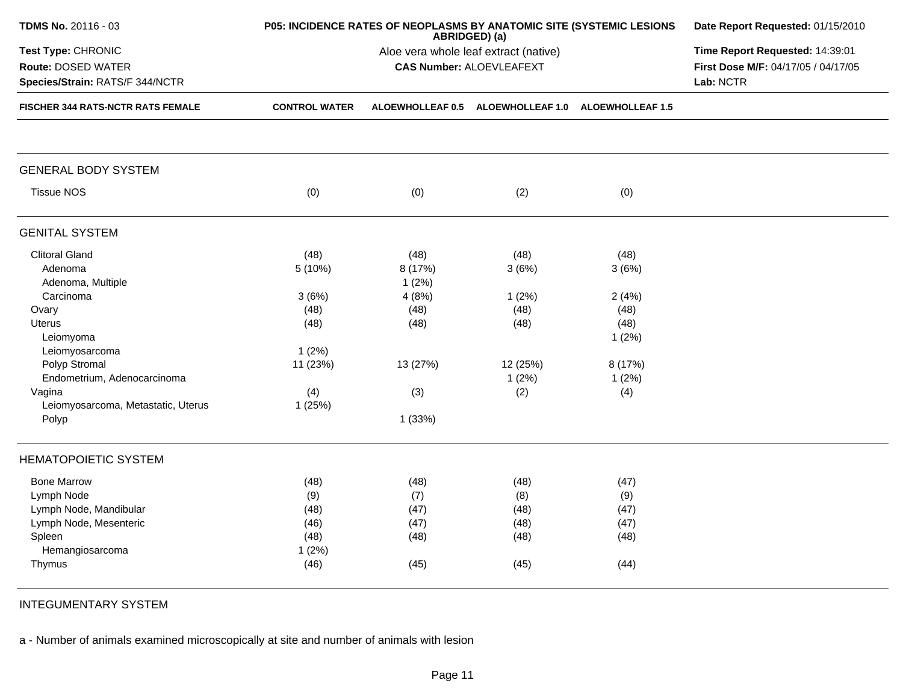| TDMS No. 20116 - 03                      | P05: INCIDENCE RATES OF NEOPLASMS BY ANATOMIC SITE (SYSTEMIC LESIONS | Date Report Requested: 01/15/2010<br>Time Report Requested: 14:39:01 |                                                                          |         |                                     |
|------------------------------------------|----------------------------------------------------------------------|----------------------------------------------------------------------|--------------------------------------------------------------------------|---------|-------------------------------------|
| Test Type: CHRONIC                       |                                                                      |                                                                      |                                                                          |         |                                     |
| <b>Route: DOSED WATER</b>                |                                                                      |                                                                      | Aloe vera whole leaf extract (native)<br><b>CAS Number: ALOEVLEAFEXT</b> |         | First Dose M/F: 04/17/05 / 04/17/05 |
| Species/Strain: RATS/F 344/NCTR          |                                                                      |                                                                      |                                                                          |         | Lab: NCTR                           |
| <b>FISCHER 344 RATS-NCTR RATS FEMALE</b> | <b>CONTROL WATER</b>                                                 |                                                                      | ALOEWHOLLEAF 0.5 ALOEWHOLLEAF 1.0 ALOEWHOLLEAF 1.5                       |         |                                     |
|                                          |                                                                      |                                                                      |                                                                          |         |                                     |
| <b>GENERAL BODY SYSTEM</b>               |                                                                      |                                                                      |                                                                          |         |                                     |
| <b>Tissue NOS</b>                        | (0)                                                                  | (0)                                                                  | (2)                                                                      | (0)     |                                     |
| <b>GENITAL SYSTEM</b>                    |                                                                      |                                                                      |                                                                          |         |                                     |
| <b>Clitoral Gland</b>                    | (48)                                                                 | (48)                                                                 | (48)                                                                     | (48)    |                                     |
| Adenoma                                  | 5(10%)                                                               | 8 (17%)                                                              | 3(6%)                                                                    | 3(6%)   |                                     |
| Adenoma, Multiple                        |                                                                      | 1(2%)                                                                |                                                                          |         |                                     |
| Carcinoma                                | 3(6%)                                                                | 4(8%)                                                                | 1(2%)                                                                    | 2(4%)   |                                     |
| Ovary                                    | (48)                                                                 | (48)                                                                 | (48)                                                                     | (48)    |                                     |
| <b>Uterus</b>                            | (48)                                                                 | (48)                                                                 | (48)                                                                     | (48)    |                                     |
| Leiomyoma                                |                                                                      |                                                                      |                                                                          | 1(2%)   |                                     |
| Leiomyosarcoma                           | 1(2%)                                                                |                                                                      |                                                                          |         |                                     |
| Polyp Stromal                            | 11 (23%)                                                             | 13 (27%)                                                             | 12 (25%)                                                                 | 8 (17%) |                                     |
| Endometrium, Adenocarcinoma              |                                                                      |                                                                      | 1(2%)                                                                    | 1(2%)   |                                     |
| Vagina                                   | (4)                                                                  | (3)                                                                  | (2)                                                                      | (4)     |                                     |
| Leiomyosarcoma, Metastatic, Uterus       | 1(25%)                                                               |                                                                      |                                                                          |         |                                     |
| Polyp                                    |                                                                      | 1 (33%)                                                              |                                                                          |         |                                     |
| <b>HEMATOPOIETIC SYSTEM</b>              |                                                                      |                                                                      |                                                                          |         |                                     |
| <b>Bone Marrow</b>                       | (48)                                                                 | (48)                                                                 | (48)                                                                     | (47)    |                                     |
| Lymph Node                               | (9)                                                                  | (7)                                                                  | (8)                                                                      | (9)     |                                     |
| Lymph Node, Mandibular                   | (48)                                                                 | (47)                                                                 | (48)                                                                     | (47)    |                                     |
| Lymph Node, Mesenteric                   | (46)                                                                 | (47)                                                                 | (48)                                                                     | (47)    |                                     |
| Spleen                                   | (48)                                                                 | (48)                                                                 | (48)                                                                     | (48)    |                                     |
| Hemangiosarcoma                          | 1(2%)                                                                |                                                                      |                                                                          |         |                                     |
| Thymus                                   | (46)                                                                 | (45)                                                                 | (45)                                                                     | (44)    |                                     |

INTEGUMENTARY SYSTEM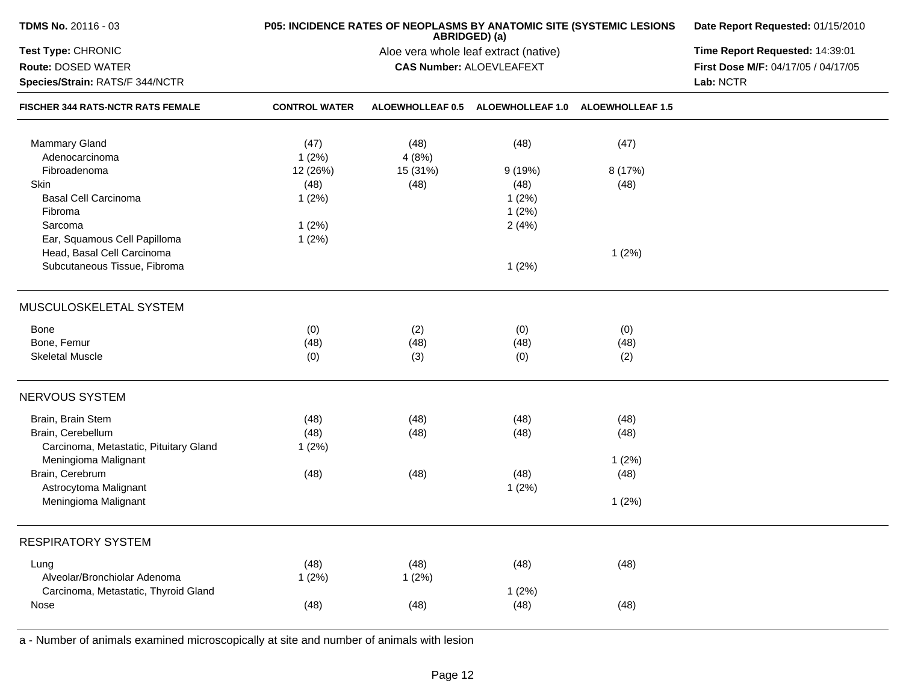| TDMS No. 20116 - 03                      | P05: INCIDENCE RATES OF NEOPLASMS BY ANATOMIC SITE (SYSTEMIC LESIONS | Date Report Requested: 01/15/2010     |                                 |                         |                                     |
|------------------------------------------|----------------------------------------------------------------------|---------------------------------------|---------------------------------|-------------------------|-------------------------------------|
| Test Type: CHRONIC                       |                                                                      | Aloe vera whole leaf extract (native) | Time Report Requested: 14:39:01 |                         |                                     |
| Route: DOSED WATER                       |                                                                      |                                       | <b>CAS Number: ALOEVLEAFEXT</b> |                         | First Dose M/F: 04/17/05 / 04/17/05 |
| Species/Strain: RATS/F 344/NCTR          |                                                                      |                                       |                                 |                         | Lab: NCTR                           |
| <b>FISCHER 344 RATS-NCTR RATS FEMALE</b> | <b>CONTROL WATER</b>                                                 | <b>ALOEWHOLLEAF 0.5</b>               | <b>ALOEWHOLLEAF 1.0</b>         | <b>ALOEWHOLLEAF 1.5</b> |                                     |
| <b>Mammary Gland</b>                     | (47)                                                                 | (48)                                  | (48)                            | (47)                    |                                     |
| Adenocarcinoma                           | 1(2%)                                                                | 4(8%)                                 |                                 |                         |                                     |
| Fibroadenoma                             | 12 (26%)                                                             | 15 (31%)                              | 9(19%)                          | 8 (17%)                 |                                     |
| Skin                                     | (48)                                                                 | (48)                                  | (48)                            | (48)                    |                                     |
| <b>Basal Cell Carcinoma</b>              | 1(2%)                                                                |                                       | 1(2%)                           |                         |                                     |
| Fibroma                                  |                                                                      |                                       | 1(2%)                           |                         |                                     |
| Sarcoma                                  | 1(2%)                                                                |                                       | 2(4%)                           |                         |                                     |
| Ear, Squamous Cell Papilloma             | 1(2%)                                                                |                                       |                                 |                         |                                     |
| Head, Basal Cell Carcinoma               |                                                                      |                                       |                                 | 1(2%)                   |                                     |
| Subcutaneous Tissue, Fibroma             |                                                                      |                                       | 1(2%)                           |                         |                                     |
| MUSCULOSKELETAL SYSTEM                   |                                                                      |                                       |                                 |                         |                                     |
| Bone                                     | (0)                                                                  | (2)                                   | (0)                             | (0)                     |                                     |
| Bone, Femur                              | (48)                                                                 | (48)                                  | (48)                            | (48)                    |                                     |
| <b>Skeletal Muscle</b>                   | (0)                                                                  | (3)                                   | (0)                             | (2)                     |                                     |
| <b>NERVOUS SYSTEM</b>                    |                                                                      |                                       |                                 |                         |                                     |
| Brain, Brain Stem                        | (48)                                                                 | (48)                                  | (48)                            | (48)                    |                                     |
| Brain, Cerebellum                        | (48)                                                                 | (48)                                  | (48)                            | (48)                    |                                     |
| Carcinoma, Metastatic, Pituitary Gland   | 1(2%)                                                                |                                       |                                 |                         |                                     |
| Meningioma Malignant                     |                                                                      |                                       |                                 | 1(2%)                   |                                     |
| Brain, Cerebrum                          | (48)                                                                 | (48)                                  | (48)                            | (48)                    |                                     |
| Astrocytoma Malignant                    |                                                                      |                                       | 1(2%)                           |                         |                                     |
| Meningioma Malignant                     |                                                                      |                                       |                                 | 1(2%)                   |                                     |
| <b>RESPIRATORY SYSTEM</b>                |                                                                      |                                       |                                 |                         |                                     |
| Lung                                     | (48)                                                                 | (48)                                  | (48)                            | (48)                    |                                     |
| Alveolar/Bronchiolar Adenoma             | 1(2%)                                                                | 1(2%)                                 |                                 |                         |                                     |
| Carcinoma, Metastatic, Thyroid Gland     |                                                                      |                                       | 1(2%)                           |                         |                                     |
| Nose                                     | (48)                                                                 | (48)                                  | (48)                            | (48)                    |                                     |
|                                          |                                                                      |                                       |                                 |                         |                                     |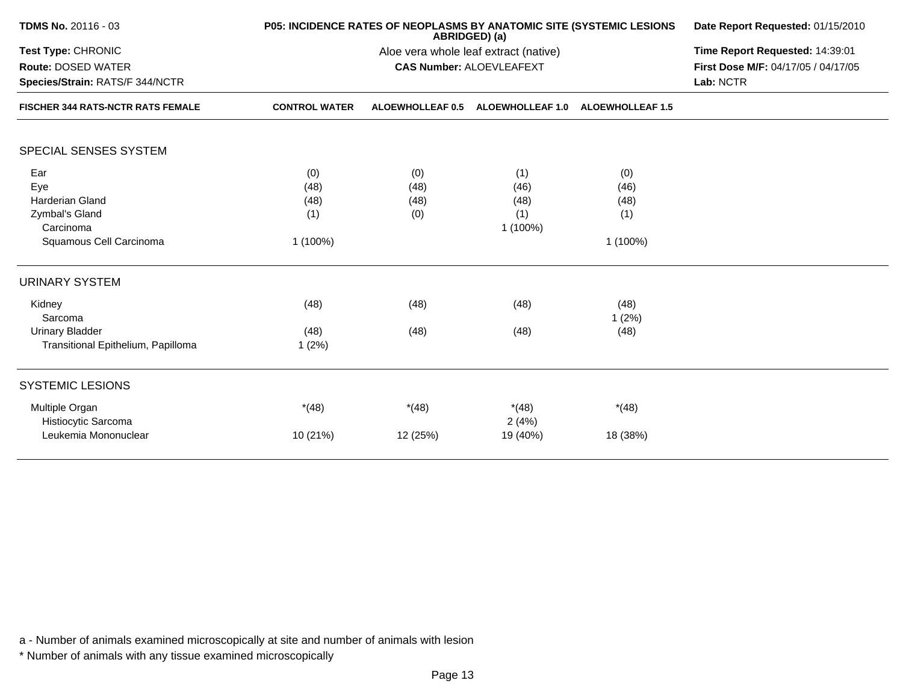| <b>TDMS No. 20116 - 03</b>                            |                      | P05: INCIDENCE RATES OF NEOPLASMS BY ANATOMIC SITE (SYSTEMIC LESIONS<br>ABRIDGED) (a) | Date Report Requested: 01/15/2010<br>Time Report Requested: 14:39:01<br>First Dose M/F: 04/17/05 / 04/17/05<br>Lab: NCTR |                         |  |
|-------------------------------------------------------|----------------------|---------------------------------------------------------------------------------------|--------------------------------------------------------------------------------------------------------------------------|-------------------------|--|
| Test Type: CHRONIC                                    |                      | Aloe vera whole leaf extract (native)                                                 |                                                                                                                          |                         |  |
| Route: DOSED WATER<br>Species/Strain: RATS/F 344/NCTR |                      | <b>CAS Number: ALOEVLEAFEXT</b>                                                       |                                                                                                                          |                         |  |
|                                                       |                      |                                                                                       |                                                                                                                          |                         |  |
| <b>FISCHER 344 RATS-NCTR RATS FEMALE</b>              | <b>CONTROL WATER</b> | <b>ALOEWHOLLEAF 0.5</b>                                                               | <b>ALOEWHOLLEAF 1.0</b>                                                                                                  | <b>ALOEWHOLLEAF 1.5</b> |  |
| <b>SPECIAL SENSES SYSTEM</b>                          |                      |                                                                                       |                                                                                                                          |                         |  |
| Ear                                                   |                      |                                                                                       |                                                                                                                          |                         |  |
| Eye                                                   | (0)<br>(48)          | (0)<br>(48)                                                                           | (1)<br>(46)                                                                                                              | (0)<br>(46)             |  |
| <b>Harderian Gland</b>                                | (48)                 | (48)                                                                                  | (48)                                                                                                                     | (48)                    |  |
| Zymbal's Gland                                        | (1)                  | (0)                                                                                   | (1)                                                                                                                      | (1)                     |  |
| Carcinoma                                             |                      |                                                                                       | $1(100\%)$                                                                                                               |                         |  |
| Squamous Cell Carcinoma                               | 1 (100%)             |                                                                                       |                                                                                                                          | 1 (100%)                |  |
| <b>URINARY SYSTEM</b>                                 |                      |                                                                                       |                                                                                                                          |                         |  |
| Kidney                                                | (48)                 | (48)                                                                                  | (48)                                                                                                                     | (48)                    |  |
| Sarcoma                                               |                      |                                                                                       |                                                                                                                          | 1(2%)                   |  |
| <b>Urinary Bladder</b>                                | (48)                 | (48)                                                                                  | (48)                                                                                                                     | (48)                    |  |
| Transitional Epithelium, Papilloma                    | 1(2%)                |                                                                                       |                                                                                                                          |                         |  |
| <b>SYSTEMIC LESIONS</b>                               |                      |                                                                                       |                                                                                                                          |                         |  |
| Multiple Organ                                        | $*(48)$              | $*(48)$                                                                               | $*(48)$                                                                                                                  | $*(48)$                 |  |
| Histiocytic Sarcoma                                   |                      |                                                                                       | 2(4%)                                                                                                                    |                         |  |
| Leukemia Mononuclear                                  | 10 (21%)             | 12 (25%)                                                                              | 19 (40%)                                                                                                                 | 18 (38%)                |  |

\* Number of animals with any tissue examined microscopically